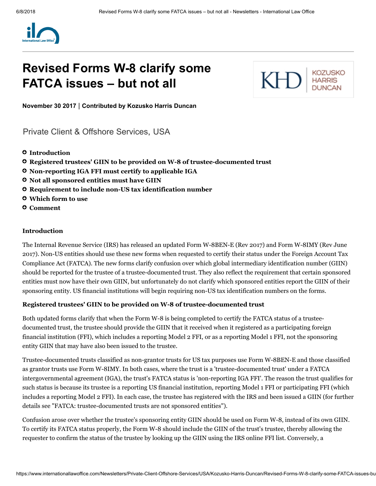

# Revised Forms W-8 clarify some FATCA issues – but not all

KH

November 30 2017 | Contributed by [Kozusko](https://www.internationallawoffice.com/Directory/Kozusko-Harris-Duncan/New-York-NY) Harris Duncan

[Private Client & Offshore Services,](https://www.internationallawoffice.com/Search?at=Updates&cfn=Kozusko+Harris+Duncan&ws=Private+Client+%26+Offshore+Services) [USA](https://www.internationallawoffice.com/Search?at=Updates&cfn=Kozusko+Harris+Duncan&js=USA)

- **O** [Introduction](#page-0-0)
- Registered trustees' GIIN to be provided on W-8 of trustee-documented trust
- Non-reporting IGA FFI must certify to applicable IGA
- Not all sponsored entities must have GIIN
- Requirement to include non-US tax identification number
- Which form to use
- [Comment](#page-3-0)

### <span id="page-0-0"></span>Introduction

The Internal Revenue Service (IRS) has released an updated Form W-8BEN-E (Rev 2017) and Form W-8IMY (Rev June 2017). Non-US entities should use these new forms when requested to certify their status under the Foreign Account Tax Compliance Act (FATCA). The new forms clarify confusion over which global intermediary identification number (GIIN) should be reported for the trustee of a trustee-documented trust. They also reflect the requirement that certain sponsored entities must now have their own GIIN, but unfortunately do not clarify which sponsored entities report the GIIN of their sponsoring entity. US financial institutions will begin requiring non-US tax identification numbers on the forms.

# Registered trustees' GIIN to be provided on W-8 of trustee-documented trust

Both updated forms clarify that when the Form W-8 is being completed to certify the FATCA status of a trusteedocumented trust, the trustee should provide the GIIN that it received when it registered as a participating foreign financial institution (FFI), which includes a reporting Model 2 FFI, or as a reporting Model 1 FFI, not the sponsoring entity GIIN that may have also been issued to the trustee.

Trustee-documented trusts classified as non-grantor trusts for US tax purposes use Form W-8BEN-E and those classified as grantor trusts use Form W-8IMY. In both cases, where the trust is a 'trustee-documented trust' under a FATCA intergovernmental agreement (IGA), the trust's FATCA status is 'non-reporting IGA FFI'. The reason the trust qualifies for such status is because its trustee is a reporting US financial institution, reporting Model 1 FFI or participating FFI (which includes a reporting Model 2 FFI). In each case, the trustee has registered with the IRS and been issued a GIIN (for further details see "FATCA: [trustee-documented](http://www.internationallawoffice.com/Newsletters/Offshore-Services/USA/Kozusko-Harris-Duncan/FATCA-trustee-documented-trusts-are-not-sponsored-entities) trusts are not sponsored entities").

Confusion arose over whether the trustee's sponsoring entity GIIN should be used on Form W-8, instead of its own GIIN. To certify its FATCA status properly, the Form W-8 should include the GIIN of the trust's trustee, thereby allowing the requester to confirm the status of the trustee by looking up the GIIN using the IRS online FFI list. Conversely, a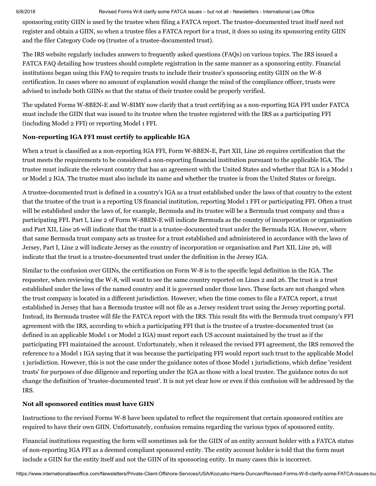#### 6/8/2018 Revised Forms W-8 clarify some FATCA issues – but not all - Newsletters - International Law Office

sponsoring entity GIIN is used by the trustee when filing a FATCA report. The trustee-documented trust itself need not register and obtain a GIIN, so when a trustee files a FATCA report for a trust, it does so using its sponsoring entity GIIN and the filer Category Code 09 (trustee of a trustee-documented trust).

The IRS website regularly includes answers to frequently asked questions (FAQs) on various topics. The IRS issued a FATCA FAQ detailing how trustees should complete registration in the same manner as a sponsoring entity. Financial institutions began using this FAQ to require trusts to include their trustee's sponsoring entity GIIN on the W-8 certification. In cases where no amount of explanation would change the mind of the compliance officer, trusts were advised to include both GIINs so that the status of their trustee could be properly verified.

The updated Forms W-8BEN-E and W-8IMY now clarify that a trust certifying as a non-reporting IGA FFI under FATCA must include the GIIN that was issued to its trustee when the trustee registered with the IRS as a participating FFI (including Model 2 FFI) or reporting Model 1 FFI.

# Non-reporting IGA FFI must certify to applicable IGA

When a trust is classified as a non-reporting IGA FFI, Form W-8BEN-E, Part XII, Line 26 requires certification that the trust meets the requirements to be considered a non-reporting financial institution pursuant to the applicable IGA. The trustee must indicate the relevant country that has an agreement with the United States and whether that IGA is a Model 1 or Model 2 IGA. The trustee must also include its name and whether the trustee is from the United States or foreign.

A trustee-documented trust is defined in a country's IGA as a trust established under the laws of that country to the extent that the trustee of the trust is a reporting US financial institution, reporting Model 1 FFI or participating FFI. Often a trust will be established under the laws of, for example, Bermuda and its trustee will be a Bermuda trust company and thus a participating FFI. Part I, Line 2 of Form W-8BEN-E will indicate Bermuda as the country of incorporation or organisation and Part XII, Line 26 will indicate that the trust is a trustee-documented trust under the Bermuda IGA. However, where that same Bermuda trust company acts as trustee for a trust established and administered in accordance with the laws of Jersey, Part I, Line 2 will indicate Jersey as the country of incorporation or organisation and Part XII, Line 26, will indicate that the trust is a trustee-documented trust under the definition in the Jersey IGA.

Similar to the confusion over GIINs, the certification on Form W-8 is to the specific legal definition in the IGA. The requester, when reviewing the W-8, will want to see the same country reported on Lines 2 and 26. The trust is a trust established under the laws of the named country and it is governed under those laws. These facts are not changed when the trust company is located in a different jurisdiction. However, when the time comes to file a FATCA report, a trust established in Jersey that has a Bermuda trustee will not file as a Jersey resident trust using the Jersey reporting portal. Instead, its Bermuda trustee will file the FATCA report with the IRS. This result fits with the Bermuda trust company's FFI agreement with the IRS, according to which a participating FFI that is the trustee of a trustee-documented trust (as defined in an applicable Model 1 or Model 2 IGA) must report each US account maintained by the trust as if the participating FFI maintained the account. Unfortunately, when it released the revised FFI agreement, the IRS removed the reference to a Model 1 IGA saying that it was because the participating FFI would report such trust to the applicable Model 1 jurisdiction. However, this is not the case under the guidance notes of those Model 1 jurisdictions, which define 'resident trusts' for purposes of due diligence and reporting under the IGA as those with a local trustee. The guidance notes do not change the definition of 'trustee-documented trust'. It is not yet clear how or even if this confusion will be addressed by the IRS.

# Not all sponsored entities must have GIIN

Instructions to the revised Forms W-8 have been updated to reflect the requirement that certain sponsored entities are required to have their own GIIN. Unfortunately, confusion remains regarding the various types of sponsored entity.

Financial institutions requesting the form will sometimes ask for the GIIN of an entity account holder with a FATCA status of non-reporting IGA FFI as a deemed compliant sponsored entity. The entity account holder is told that the form must include a GIIN for the entity itself and not the GIIN of its sponsoring entity. In many cases this is incorrect.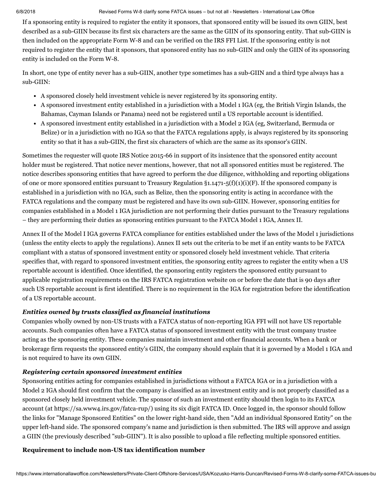#### 6/8/2018 Revised Forms W-8 clarify some FATCA issues – but not all - Newsletters - International Law Office

If a sponsoring entity is required to register the entity it sponsors, that sponsored entity will be issued its own GIIN, best described as a sub-GIIN because its first six characters are the same as the GIIN of its sponsoring entity. That sub-GIIN is then included on the appropriate Form W-8 and can be verified on the IRS FFI List. If the sponsoring entity is not required to register the entity that it sponsors, that sponsored entity has no sub-GIIN and only the GIIN of its sponsoring entity is included on the Form W-8.

In short, one type of entity never has a sub-GIIN, another type sometimes has a sub-GIIN and a third type always has a sub-GIIN:

- A sponsored closely held investment vehicle is never registered by its sponsoring entity.
- A sponsored investment entity established in a jurisdiction with a Model 1 IGA (eg, the British Virgin Islands, the Bahamas, Cayman Islands or Panama) need not be registered until a US reportable account is identified.
- A sponsored investment entity established in a jurisdiction with a Model 2 IGA (eg, Switzerland, Bermuda or Belize) or in a jurisdiction with no IGA so that the FATCA regulations apply, is always registered by its sponsoring entity so that it has a sub-GIIN, the first six characters of which are the same as its sponsor's GIIN.

Sometimes the requester will quote IRS Notice 2015-66 in support of its insistence that the sponsored entity account holder must be registered. That notice never mentions, however, that not all sponsored entities must be registered. The notice describes sponsoring entities that have agreed to perform the due diligence, withholding and reporting obligations of one or more sponsored entities pursuant to Treasury Regulation  $\S 1.1471-5(f)(1)(i)(F)$ . If the sponsored company is established in a jurisdiction with no IGA, such as Belize, then the sponsoring entity is acting in accordance with the FATCA regulations and the company must be registered and have its own sub-GIIN. However, sponsoring entities for companies established in a Model 1 IGA jurisdiction are not performing their duties pursuant to the Treasury regulations – they are performing their duties as sponsoring entities pursuant to the FATCA Model 1 IGA, Annex II.

Annex II of the Model I IGA governs FATCA compliance for entities established under the laws of the Model 1 jurisdictions (unless the entity elects to apply the regulations). Annex II sets out the criteria to be met if an entity wants to be FATCA compliant with a status of sponsored investment entity or sponsored closely held investment vehicle. That criteria specifies that, with regard to sponsored investment entities, the sponsoring entity agrees to register the entity when a US reportable account is identified. Once identified, the sponsoring entity registers the sponsored entity pursuant to applicable registration requirements on the IRS FATCA registration website on or before the date that is 90 days after such US reportable account is first identified. There is no requirement in the IGA for registration before the identification of a US reportable account.

# *Entities owned by trusts classified as financial institutions*

Companies wholly owned by non-US trusts with a FATCA status of non-reporting IGA FFI will not have US reportable accounts. Such companies often have a FATCA status of sponsored investment entity with the trust company trustee acting as the sponsoring entity. These companies maintain investment and other financial accounts. When a bank or brokerage firm requests the sponsored entity's GIIN, the company should explain that it is governed by a Model 1 IGA and is not required to have its own GIIN.

# *Registering certain sponsored investment entities*

Sponsoring entities acting for companies established in jurisdictions without a FATCA IGA or in a jurisdiction with a Model 2 IGA should first confirm that the company is classified as an investment entity and is not properly classified as a sponsored closely held investment vehicle. The sponsor of such an investment entity should then login to its FATCA account (at https://sa.www4.irs.gov/fatca-rup/) using its six digit FATCA ID. Once logged in, the sponsor should follow the links for "Manage Sponsored Entities" on the lower right-hand side, then "Add an individual Sponsored Entity" on the upper left-hand side. The sponsored company's name and jurisdiction is then submitted. The IRS will approve and assign a GIIN (the previously described "sub-GIIN"). It is also possible to upload a file reflecting multiple sponsored entities.

# Requirement to include non-US tax identification number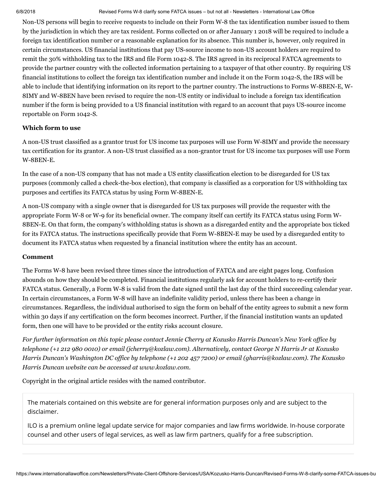#### 6/8/2018 Revised Forms W-8 clarify some FATCA issues – but not all - Newsletters - International Law Office

Non-US persons will begin to receive requests to include on their Form W-8 the tax identification number issued to them by the jurisdiction in which they are tax resident. Forms collected on or after January 1 2018 will be required to include a foreign tax identification number or a reasonable explanation for its absence. This number is, however, only required in certain circumstances. US financial institutions that pay US-source income to non-US account holders are required to remit the 30% withholding tax to the IRS and file Form 1042-S. The IRS agreed in its reciprocal FATCA agreements to provide the partner country with the collected information pertaining to a taxpayer of that other country. By requiring US financial institutions to collect the foreign tax identification number and include it on the Form 1042-S, the IRS will be able to include that identifying information on its report to the partner country. The instructions to Forms W-8BEN-E, W-8IMY and W-8BEN have been revised to require the non-US entity or individual to include a foreign tax identification number if the form is being provided to a US financial institution with regard to an account that pays US-source income reportable on Form 1042-S.

# Which form to use

A non-US trust classified as a grantor trust for US income tax purposes will use Form W-8IMY and provide the necessary tax certification for its grantor. A non-US trust classified as a non-grantor trust for US income tax purposes will use Form W-8BEN-E.

In the case of a non-US company that has not made a US entity classification election to be disregarded for US tax purposes (commonly called a check-the-box election), that company is classified as a corporation for US withholding tax purposes and certifies its FATCA status by using Form W-8BEN-E.

A non-US company with a single owner that is disregarded for US tax purposes will provide the requester with the appropriate Form W-8 or W-9 for its beneficial owner. The company itself can certify its FATCA status using Form W-8BEN-E. On that form, the company's withholding status is shown as a disregarded entity and the appropriate box ticked for its FATCA status. The instructions specifically provide that Form W-8BEN-E may be used by a disregarded entity to document its FATCA status when requested by a financial institution where the entity has an account.

# <span id="page-3-0"></span>Comment

The Forms W-8 have been revised three times since the introduction of FATCA and are eight pages long. Confusion abounds on how they should be completed. Financial institutions regularly ask for account holders to re-certify their FATCA status. Generally, a Form W-8 is valid from the date signed until the last day of the third succeeding calendar year. In certain circumstances, a Form W-8 will have an indefinite validity period, unless there has been a change in circumstances. Regardless, the individual authorised to sign the form on behalf of the entity agrees to submit a new form within 30 days if any certification on the form becomes incorrect. Further, if the financial institution wants an updated form, then one will have to be provided or the entity risks account closure.

For further information on this topic please contact Jennie [Cherry](http://www.internationallawoffice.com/directory/biography.aspx?r=36050) at Kozusko Harris Duncan's New York office by telephone (+1 212 980 0010) or email ([jcherry@kozlaw.com](mailto:jcherry@kozlaw.com?subject=Article%20on%20ILO)). Alternatively, contact [George](http://www.internationallawoffice.com/directory/Biography.aspx?g=933547e5-d028-4f2c-a296-1b010d9ee953) N Harris Jr at Kozusko Harris Duncan's Washington DC office by telephone (+1 202 457 7200) or email [\(gharris@kozlaw.com](mailto:gharris@kozlaw.com?subject=Article%20on%20ILO)). The Kozusko *Harris Duncan website can be accessed at [www.kozlaw.com.](http://www.kozlaw.com/)*

Copyright in the original article resides with the named contributor.

The materials contained on this website are for general information purposes only and are subject to the [disclaimer.](https://www.internationallawoffice.com/Information/Disclaimer)

ILO is a premium online legal update service for major companies and law firms worldwide. In-house corporate counsel and other users of legal services, as well as law firm partners, qualify for a free subscription.